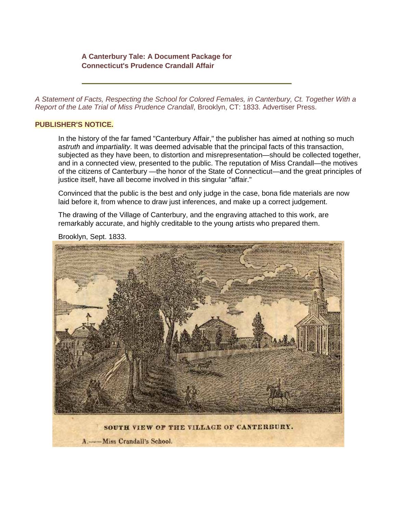## **A Canterbury Tale: A Document Package for Connecticut's Prudence Crandall Affair**

*A Statement of Facts, Respecting the School for Colored Females, in Canterbury, Ct. Together With a Report of the Late Trial of Miss Prudence Crandall*, Brooklyn, CT: 1833. Advertiser Press.

## **PUBLISHER'S NOTICE.**

In the history of the far famed "Canterbury Affair," the publisher has aimed at nothing so much as*truth* and *impartiality*. It was deemed advisable that the principal facts of this transaction, subjected as they have been, to distortion and misrepresentation—should be collected together, and in a connected view, presented to the public. The reputation of Miss Crandall—the motives of the citizens of Canterbury —the honor of the State of Connecticut—and the great principles of justice itself, have all become involved in this singular "affair."

Convinced that the public is the best and only judge in the case, bona fide materials are now laid before it, from whence to draw just inferences, and make up a correct judgement.

The drawing of the Village of Canterbury, and the engraving attached to this work, are remarkably accurate, and highly creditable to the young artists who prepared them.



Brooklyn, Sept. 1833.

A. -- Miss Crandall's School.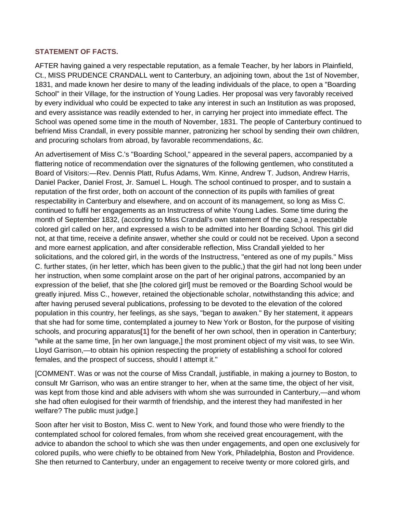## **STATEMENT OF FACTS.**

AFTER having gained a very respectable reputation, as a female Teacher, by her labors in Plainfield, Ct., MISS PRUDENCE CRANDALL went to Canterbury, an adjoining town, about the 1st of November, 1831, and made known her desire to many of the leading individuals of the place, to open a "Boarding School" in their Village, for the instruction of Young Ladies. Her proposal was very favorably received by every individual who could be expected to take any interest in such an Institution as was proposed, and every assistance was readily extended to her, in carrying her project into immediate effect. The School was opened some time in the mouth of November, 1831. The people of Canterbury continued to befriend Miss Crandall, in every possible manner, patronizing her school by sending their own children, and procuring scholars from abroad, by favorable recommendations, &c.

An advertisement of Miss C.'s "Boarding School," appeared in the several papers, accompanied by a flattering notice of recommendation over the signatures of the following gentlemen, who constituted a Board of Visitors:—Rev. Dennis Platt, Rufus Adams, Wm. Kinne, Andrew T. Judson, Andrew Harris, Daniel Packer, Daniel Frost, Jr. Samuel L. Hough. The school continued to prosper, and to sustain a reputation of the first order, both on account of the connection of its pupils with families of great respectability in Canterbury and elsewhere, and on account of its management, so long as Miss C. continued to fulfil her engagements as an Instructress of white Young Ladies. Some time during the month of September 1832, (according to Miss Crandall's own statement of the case,) a respectable colored girl called on her, and expressed a wish to be admitted into her Boarding School. This girl did not, at that time, receive a definite answer, whether she could or could not be received. Upon a second and more earnest application, and after considerable reflection, Miss Crandall yielded to her solicitations, and the colored girl, in the words of the Instructress, "entered as one of my pupils." Miss C. further states, (in her letter, which has been given to the public,) that the girl had not long been under her instruction, when some complaint arose on the part of her original patrons, accompanied by an expression of the belief, that she [the colored girl] must be removed or the Boarding School would be greatly injured. Miss C., however, retained the objectionable scholar, notwithstanding this advice; and after having perused several publications, professing to be devoted to the elevation of the colored population in this country, her feelings, as she says, "began to awaken." By her statement, it appears that she had for some time, contemplated a journey to New York or Boston, for the purpose of visiting schools, and procuring apparatus**[\[1\]](http://www.yale.edu/glc/crandall/01.htm%231)** for the benefit of her own school, then in operation in Canterbury; "while at the same time, [in her own language,] the most prominent object of my visit was, to see Win. Lloyd Garrison,—to obtain his opinion respecting the propriety of establishing a school for colored females, and the prospect of success, should I attempt it."

[COMMENT. Was or was not the course of Miss Crandall, justifiable, in making a journey to Boston, to consult Mr Garrison, who was an entire stranger to her, when at the same time, the object of her visit, was kept from those kind and able advisers with whom she was surrounded in Canterbury,—and whom she had often eulogised for their warmth of friendship, and the interest they had manifested in her welfare? The public must judge.]

Soon after her visit to Boston, Miss C. went to New York, and found those who were friendly to the contemplated school for colored females, from whom she received great encouragement, with the advice to abandon the school to which she was then under engagements, and open one exclusively for colored pupils, who were chiefly to be obtained from New York, Philadelphia, Boston and Providence. She then returned to Canterbury, under an engagement to receive twenty or more colored girls, and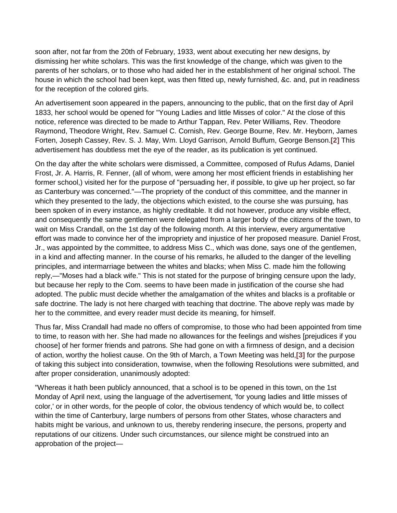soon after, not far from the 20th of February, 1933, went about executing her new designs, by dismissing her white scholars. This was the first knowledge of the change, which was given to the parents of her scholars, or to those who had aided her in the establishment of her original school. The house in which the school had been kept, was then fitted up, newly furnished, &c. and, put in readiness for the reception of the colored girls.

An advertisement soon appeared in the papers, announcing to the public, that on the first day of April 1833, her school would be opened for "Young Ladies and little Misses of color." At the close of this notice, reference was directed to be made to Arthur Tappan, Rev. Peter Williams, Rev. Theodore Raymond, Theodore Wright, Rev. Samuel C. Cornish, Rev. George Bourne, Rev. Mr. Heyborn, James Forten, Joseph Cassey, Rev. S. J. May, Wm. Lloyd Garrison, Arnold Buffum, George Benson.**[\[2\]](http://www.yale.edu/glc/crandall/01.htm%232)** This advertisement has doubtless met the eye of the reader, as its publication is yet continued.

On the day after the white scholars were dismissed, a Committee, composed of Rufus Adams, Daniel Frost, Jr. A. Harris, R. Fenner, (all of whom, were among her most efficient friends in establishing her former school,) visited her for the purpose of "persuading her, if possible, to give up her project, so far as Canterbury was concerned."—The propriety of the conduct of this committee, and the manner in which they presented to the lady, the objections which existed, to the course she was pursuing, has been spoken of in every instance, as highly creditable. It did not however, produce any visible effect, and consequently the same gentlemen were delegated from a larger body of the citizens of the town, to wait on Miss Crandall, on the 1st day of the following month. At this interview, every argumentative effort was made to convince her of the impropriety and injustice of her proposed measure. Daniel Frost, Jr., was appointed by the committee, to address Miss C., which was done, says one of the gentlemen, in a kind and affecting manner. In the course of his remarks, he alluded to the danger of the levelling principles, and intermarriage between the whites and blacks; when Miss C. made him the following reply,—"Moses had a black wife." This is not stated for the purpose of bringing censure upon the lady, but because her reply to the Com. seems to have been made in justification of the course she had adopted. The public must decide whether the amalgamation of the whites and blacks is a profitable or safe doctrine. The lady is not here charged with teaching that doctrine. The above reply was made by her to the committee, and every reader must decide its meaning, for himself.

Thus far, Miss Crandall had made no offers of compromise, to those who had been appointed from time to time, to reason with her. She had made no allowances for the feelings and wishes [prejudices if you choose] of her former friends and patrons. She had gone on with a firmness of design, and a decision of action, worthy the holiest cause. On the 9th of March, a Town Meeting was held,**[\[3\]](http://www.yale.edu/glc/crandall/01.htm%233)** for the purpose of taking this subject into consideration, townwise, when the following Resolutions were submitted, and after proper consideration, unanimously adopted:

"Whereas it hath been publicly announced, that a school is to be opened in this town, on the 1st Monday of April next, using the language of the advertisement, 'for young ladies and little misses of color,' or in other words, for the people of color, the obvious tendency of which would be, to collect within the time of Canterbury, large numbers of persons from other States, whose characters and habits might be various, and unknown to us, thereby rendering insecure, the persons, property and reputations of our citizens. Under such circumstances, our silence might be construed into an approbation of the project—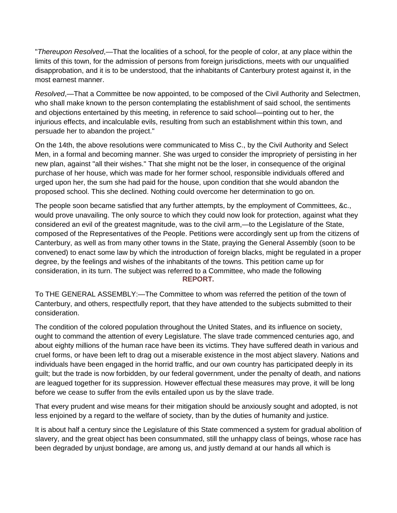"*Thereupon Resolved*,—That the localities of a school, for the people of color, at any place within the limits of this town, for the admission of persons from foreign jurisdictions, meets with our unqualified disapprobation, and it is to be understood, that the inhabitants of Canterbury protest against it, in the most earnest manner.

*Resolved*,—That a Committee be now appointed, to be composed of the Civil Authority and Selectmen, who shall make known to the person contemplating the establishment of said school, the sentiments and objections entertained by this meeting, in reference to said school—pointing out to her, the injurious effects, and incalculable evils, resulting from such an establishment within this town, and persuade her to abandon the project."

On the 14th, the above resolutions were communicated to Miss C., by the Civil Authority and Select Men, in a formal and becoming manner. She was urged to consider the impropriety of persisting in her new plan, against "all their wishes." That she might not be the loser, in consequence of the original purchase of her house, which was made for her former school, responsible individuals offered and urged upon her, the sum she had paid for the house, upon condition that she would abandon the proposed school. This she declined. Nothing could overcome her determination to go on.

The people soon became satisfied that any further attempts, by the employment of Committees, &c., would prove unavailing. The only source to which they could now look for protection, against what they considered an evil of the greatest magnitude, was to the civil arm,—to the Legislature of the State, composed of the Representatives of the People. Petitions were accordingly sent up from the citizens of Canterbury, as well as from many other towns in the State, praying the General Assembly (soon to be convened) to enact some law by which the introduction of foreign blacks, might be regulated in a proper degree, by the feelings and wishes of the inhabitants of the towns. This petition came up for consideration, in its turn. The subject was referred to a Committee, who made the following **REPORT.**

To THE GENERAL ASSEMBLY:—The Committee to whom was referred the petition of the town of Canterbury, and others, respectfully report, that they have attended to the subjects submitted to their consideration.

The condition of the colored population throughout the United States, and its influence on society, ought to command the attention of every Legislature. The slave trade commenced centuries ago, and about eighty millions of the human race have been its victims. They have suffered death in various and cruel forms, or have been left to drag out a miserable existence in the most abject slavery. Nations and individuals have been engaged in the horrid traffic, and our own country has participated deeply in its guilt; but the trade is now forbidden, by our federal government, under the penalty of death, and nations are leagued together for its suppression. However effectual these measures may prove, it will be long before we cease to suffer from the evils entailed upon us by the slave trade.

That every prudent and wise means for their mitigation should be anxiously sought and adopted, is not less enjoined by a regard to the welfare of society, than by the duties of humanity and justice.

It is about half a century since the Legislature of this State commenced a system for gradual abolition of slavery, and the great object has been consummated, still the unhappy class of beings, whose race has been degraded by unjust bondage, are among us, and justly demand at our hands all which is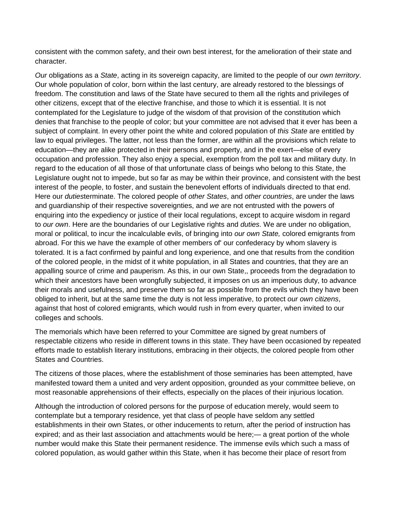consistent with the common safety, and their own best interest, for the amelioration of their state and character.

*Our* obligations as a *State*, acting in its sovereign capacity, are limited to the people of our *own territory*. Our whole population of color, born within the last century, are already restored to the blessings of freedom. The constitution and laws of the State have secured to them all the rights and privileges of other citizens, except that of the elective franchise, and those to which it is essential. It is not contemplated for the Legislature to judge of the wisdom of that provision of the constitution which denies that franchise to the people of color; but your committee are not advised that it ever has been a subject of complaint. In every other point the white and colored population of *this State* are entitled by law to equal privileges. The latter, not less than the former, are within all the provisions which relate to education—they are alike protected in their persons and property, and in the exert—else of every occupation and profession. They also enjoy a special, exemption from the poll tax and military duty. In regard to the education of all those of that unfortunate class of beings who belong to this State, the Legislature ought not to impede, but so far as may be within their province, and consistent with the best interest of the people, to foster, and sustain the benevolent efforts of individuals directed to that end. Here our *duties*terminate. The colored people of *other States*, and *other countries*, are under the laws and guardianship of their respective sovereignties, and *we* are not entrusted with the powers of enquiring into the expediency or justice of their local regulations, except to acquire wisdom in regard to *our own*. Here are the boundaries of our Legislative rights and *duties*. We are under no obligation, moral or political, to incur the incalculable evils, of bringing into *our own State,* colored emigrants from abroad. For this we have the example of other members of' our confederacy by whom slavery is tolerated. It is a fact confirmed by painful and long experience, and one that results from the condition of the colored people, in the midst of it white population, in all States and countries, that they are an appalling source of crime and pauperism. As this, in our own State,, proceeds from the degradation to which their ancestors have been wrongfully subjected, it imposes on us an imperious duty, to advance their morals and usefulness, and preserve them so far as possible from the evils which they have been obliged to inherit, but at the same time the duty is not less imperative, to protect *our own citizens*, against that host of colored emigrants, which would rush in from every quarter, when invited to our colleges and schools.

The memorials which have been referred to your Committee are signed by great numbers of respectable citizens who reside in different towns in this state. They have been occasioned by repeated efforts made to establish literary institutions, embracing in their objects, the colored people from other States and Countries.

The citizens of those places, where the establishment of those seminaries has been attempted, have manifested toward them a united and very ardent opposition, grounded as your committee believe, on most reasonable apprehensions of their effects, especially on the places of their injurious location.

Although the introduction of colored persons for the purpose of education merely, would seem to contemplate but a temporary residence, yet that class of people have seldom any settled establishments in their own States, or other inducements to return, after the period of instruction has expired; and as their last association and attachments would be here;— a great portion of the whole number would make this State their permanent residence. The immense evils which such a mass of colored population, as would gather within this State, when it has become their place of resort from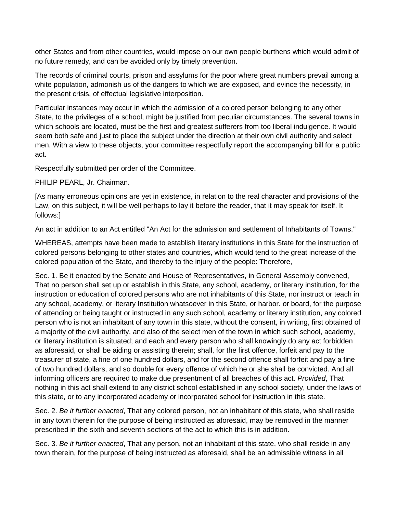other States and from other countries, would impose on our own people burthens which would admit of no future remedy, and can be avoided only by timely prevention.

The records of criminal courts, prison and assylums for the poor where great numbers prevail among a white population, admonish us of the dangers to which we are exposed, and evince the necessity, in the present crisis, of effectual legislative interposition.

Particular instances may occur in which the admission of a colored person belonging to any other State, to the privileges of a school, might be justified from peculiar circumstances. The several towns in which schools are located, must be the first and greatest sufferers from too liberal indulgence. It would seem both safe and just to place the subject under the direction at their own civil authority and select men. With a view to these objects, your committee respectfully report the accompanying bill for a public act.

Respectfully submitted per order of the Committee.

PHILIP PEARL, Jr. Chairman.

[As many erroneous opinions are yet in existence, in relation to the real character and provisions of the Law, on this subject, it will be well perhaps to lay it before the reader, that it may speak for itself. It follows:]

An act in addition to an Act entitled "An Act for the admission and settlement of Inhabitants of Towns."

WHEREAS, attempts have been made to establish literary institutions in this State for the instruction of colored persons belonging to other states and countries, which would tend to the great increase of the colored population of the State, and thereby to the injury of the people: Therefore,

Sec. 1. Be it enacted by the Senate and House of Representatives, in General Assembly convened, That no person shall set up or establish in this State, any school, academy, or literary institution, for the instruction or education of colored persons who are not inhabitants of this State, nor instruct or teach in any school, academy, or literary Institution whatsoever in this State, or harbor. or board, for the purpose of attending or being taught or instructed in any such school, academy or literary institution, any colored person who is not an inhabitant of any town in this state, without the consent, in writing, first obtained of a majority of the civil authority, and also of the select men of the town in which such school, academy, or literary institution is situated; and each and every person who shall knowingly do any act forbidden as aforesaid, or shall be aiding or assisting therein; shall, for the first offence, forfeit and pay to the treasurer of state, a fine of one hundred dollars, and for the second offence shall forfeit and pay a fine of two hundred dollars, and so double for every offence of which he or she shall be convicted. And all informing officers are required to make due presentment of all breaches of this act. *Provided*, That nothing in this act shall extend to any district school established in any school society, under the laws of this state, or to any incorporated academy or incorporated school for instruction in this state.

Sec. 2. *Be it further enacted*, That any colored person, not an inhabitant of this state, who shall reside in any town therein for the purpose of being instructed as aforesaid, may be removed in the manner prescribed in the sixth and seventh sections of the act to which this is in addition.

Sec. 3. *Be it further enacted*, That any person, not an inhabitant of this state, who shall reside in any town therein, for the purpose of being instructed as aforesaid, shall be an admissible witness in all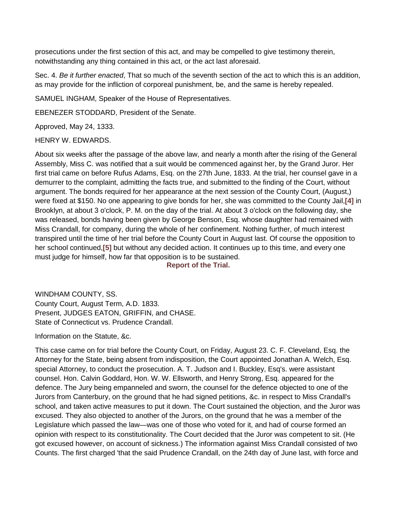prosecutions under the first section of this act, and may be compelled to give testimony therein, notwithstanding any thing contained in this act, or the act last aforesaid.

Sec. 4. *Be it further enacted*, That so much of the seventh section of the act to which this is an addition, as may provide for the infliction of corporeal punishment, be, and the same is hereby repealed.

SAMUEL INGHAM, Speaker of the House of Representatives.

EBENEZER STODDARD, President of the Senate.

Approved, May 24, 1333.

## HENRY W. EDWARDS.

About six weeks after the passage of the above law, and nearly a month after the rising of the General Assembly, Miss C. was notified that a suit would be commenced against her, by the Grand Juror. Her first trial came on before Rufus Adams, Esq. on the 27th June, 1833. At the trial, her counsel gave in a demurrer to the complaint, admitting the facts true, and submitted to the finding of the Court, without argument. The bonds required for her appearance at the next session of the County Court, (August,) were fixed at \$150. No one appearing to give bonds for her, she was committed to the County Jail,**[\[4\]](http://www.yale.edu/glc/crandall/01.htm%234)** in Brooklyn, at about 3 o'clock, P. M. on the day of the trial. At about 3 o'clock on the following day, she was released, bonds having been given by George Benson, Esq. whose daughter had remained with Miss Crandall, for company, during the whole of her confinement. Nothing further, of much interest transpired until the time of her trial before the County Court in August last. Of course the opposition to her school continued,**[\[5\]](http://www.yale.edu/glc/crandall/01.htm%235)** but without any decided action. It continues up to this time, and every one must judge for himself, how far that opposition is to be sustained.

**Report of the Trial.**

WINDHAM COUNTY, SS. County Court, August Term, A.D. 1833. Present, JUDGES EATON, GRIFFIN, and CHASE. State of Connecticut vs. Prudence Crandall.

Information on the Statute, &c.

This case came on for trial before the County Court, on Friday, August 23. C. F. Cleveland, Esq. the Attorney for the State, being absent from indisposition, the Court appointed Jonathan A. Welch, Esq. special Attorney, to conduct the prosecution. A. T. Judson and I. Buckley, Esq's. were assistant counsel. Hon. Calvin Goddard, Hon. W. W. Ellsworth, and Henry Strong, Esq. appeared for the defence. The Jury being empanneled and sworn, the counsel for the defence objected to one of the Jurors from Canterbury, on the ground that he had signed petitions, &c. in respect to Miss Crandall's school, and taken active measures to put it down. The Court sustained the objection, and the Juror was excused. They also objected to another of the Jurors, on the ground that he was a member of the Legislature which passed the law—was one of those who voted for it, and had of course formed an opinion with respect to its constitutionality. The Court decided that the Juror was competent to sit. (He got excused however, on account of sickness.) The information against Miss Crandall consisted of two Counts. The first charged 'that the said Prudence Crandall, on the 24th day of June last, with force and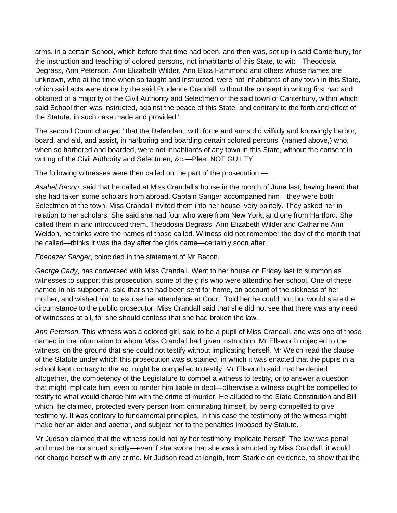arms, in a certain School, which before that time had been, and then was, set up in said Canterbury, for the instruction and teaching of colored persons, not inhabitants of this State, to wit:—Theodosia Degrass, Ann Peterson, Ann Elizabeth Wilder, Ann Eliza Hammond and others whose names are unknown, who at the time when so taught and instructed, were not inhabitants of any town in this State, which said acts were done by the said Prudence Crandall, without the consent in writing first had and obtained of a majority of the Civil Authority and Selectmen of the said town of Canterbury, within which said School then was instructed, against the peace of this State, and contrary to the forth and effect of the Statute, in such case made and provided."

The second Count charged "that the Defendant, with force and arms did wilfully and knowingly harbor, board, and aid, and assist, in harboring and boarding certain colored persons, (named above,) who, when so harbored and boarded, were not inhabitants of any town in this State, without the consent in writing of the Civil Authority and Selectmen, &c.—Plea, NOT GUILTY.

The following witnesses were then called on the part of the prosecution:—

*Asahel Bacon*, said that he called at Miss Crandall's house in the month of June last, having heard that she had taken some scholars from abroad. Captain Sanger accompanied him—they were both Selectmcn of the town. Miss Crandall invited them into her house, very politely. They asked her in relation to her scholars. She said she had four who were from New York, and one from Hartford. She called them in and introduced them. Theodosia Degrass, Ann Elizabeth Wilder and Catharine Ann Weldon, he thinks were the names of those called. Witness did not remember the day of the month that he called—thinks it was the day after the girls came—certainly soon after.

*Ebenezer Sanger*, coincided in the statement of Mr Bacon.

*George Cady*, has conversed with Miss Crandall. Went to her house on Friday last to summon as witnesses to support this prosecution, some of the girls who were attending her school. One of these named in his subpoena, said that she had been sent for home, on account of the sickness of her mother, and wished him to excuse her attendance at Court. Told her he could not, but would state the circumstance to the public prosecutor. Miss Crandall said that she did not see that there was any need of witnesses at all, for she should confess that she had broken the law.

*Ann Peterson*. This witness was a colored girl, said to be a pupil of Miss Crandall, and was one of those named in the information to whom Miss Crandall had given instruction. Mr Ellsworth objected to the witness, on the ground that she could not testify without implicating herself. Mr Welch read the clause of the Statute under which this prosecution was sustained, in which it was enacted that the pupils in a school kept contrary to the act might be compelled to testily. Mr Ellsworth said that he denied altogether, the competency of the Legislature to compel a witness to testify, or to answer a question that might implicate him, even to render him liable in debt—otherwise a witness ought be compelled to testify to what would charge him with the crime of murder. He alluded to the State Constitution and Bill which, he claimed, protected every person from criminating himself, by being compelled to give testimony. It was contrary to fundamental principles. In this case the testimony of the witness might make her an aider and abettor, and subject her to the penalties imposed by Statute.

Mr Judson claimed that the witness could not by her testimony implicate herself. The law was penal, and must be construed strictly—even if she swore that she was instructed by Miss Crandall, it would not charge herself with any crime. Mr Judson read at length, from Starkie on evidence, to show that the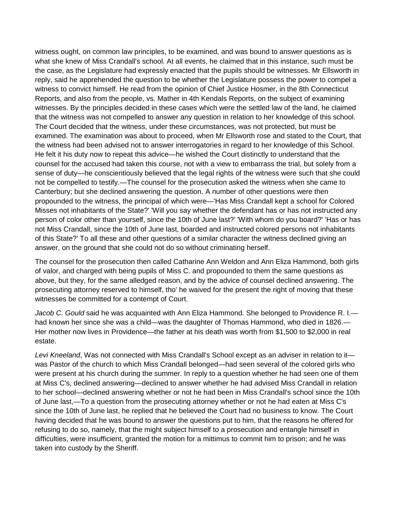witness ought, on common law principles, to be examined, and was bound to answer questions as is what she knew of Miss Crandall's school. At all events, he claimed that in this instance, such must be the case, as the Legislature had expressly enacted that the pupils should be witnesses. Mr Ellsworth in reply, said he apprehended the question to be whether the Legislature possess the power to compel a witness to convict himself. He read from the opinion of Chief Justice Hosmer, in the 8th Connecticut Reports, and also from the people, vs. Mather in 4th Kendals Reports, on the subject of examining witnesses. By the principles decided in these cases which were the settled law of the land, he claimed that the witness was not compelled to answer any question in relation to her knowledge of this school. The Court decided that the witness, under these circumstances, was not protected, but must be examined. The examination was about to proceed, when Mr Ellsworth rose and stated to the Court, that the witness had been advised not to answer interrogatories in regard to her knowledge of this School. He felt it his duty now to repeat this advice—he wished the Court distinctly to understand that the counsel for the accused had taken this course, not with a view to embarrass the trial, but solely from a sense of duty—he conscientiously believed that the legal rights of the witness were such that she could not be compelled to testify.—The counsel for the prosecution asked the witness when she came to Canterbury; but she declined answering the question. A number of other questions were then propounded to the witness, the principal of which were—'Has Miss Crandall kept a school for Colored Misses not inhabitants of the State?' 'Will you say whether the defendant has or has not instructed any person of color other than yourself, since the 10th of June last?' 'With whom do you board?' 'Has or has not Miss Crandall, since the 10th of June last, boarded and instructed colored persons not inhabitants of this State?' To all these and other questions of a similar character the witness declined giving an answer, on the ground that she could not do so without criminating herself.

The counsel for the prosecution then called Catharine Ann Weldon and Ann Eliza Hammond, both girls of valor, and charged with being pupils of Miss C. and propounded to them the same questions as above, but they, for the same alledged reason, and by the advice of counsel declined answering. The prosecuting attorney reserved to himself, tho' he waived for the present the right of moving that these witnesses be committed for a contempt of Court.

*Jacob C. Gould* said he was acquainted with Ann Eliza Hammond. She belonged to Providence R. I. had known her since she was a child—was the daughter of Thomas Hammond, who died in 1826.— Her mother now lives in Providence—the father at his death was worth from \$1,500 to \$2,000 in real estate.

*Levi Kneeland*, Was not connected with Miss Crandall's School except as an adviser in relation to it was Pastor of the church to which Miss Crandall belonged—had seen several of the colored girls who were present at his church during the summer. In reply to a question whether he had seen one of them at Miss C's, declined answering—declined to answer whether he had advised Miss Crandall in relation to her school—declined answering whether or not he had been in Miss Crandall's school since the 10th of June last,—To a question from the prosecuting attorney whether or not he had eaten at Miss C's since the 10th of June last, he replied that he believed the Court had no business to know. The Court having decided that he was bound to answer the questions put to him, that the reasons he offered for refusing to do so, namely, that the might subject himself to a prosecution and entangle himself in difficulties, were insufficient, granted the motion for a mittimus to commit him to prison; and he was taken into custody by the Sheriff.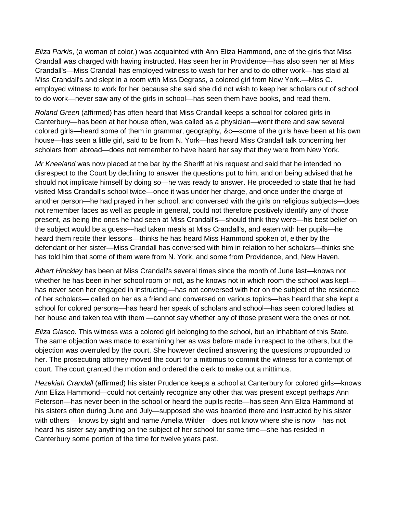*Eliza Parkis*, (a woman of color,) was acquainted with Ann Eliza Hammond, one of the girls that Miss Crandall was charged with having instructed. Has seen her in Providence—has also seen her at Miss Crandall's—Miss Crandall has employed witness to wash for her and to do other work—has staid at Miss Crandall's and slept in a room with Miss Degrass, a colored girl from New York.—Miss C. employed witness to work for her because she said she did not wish to keep her scholars out of school to do work—never saw any of the girls in school—has seen them have books, and read them.

*Roland Green* (affirmed) has often heard that Miss Crandall keeps a school for colored girls in Canterbury—has been at her house often, was called as a physician—went there and saw several colored girls—heard some of them in grammar, geography, &c—some of the girls have been at his own house—has seen a little girl, said to be from N. York—has heard Miss Crandall talk concerning her scholars from abroad—does not remember to have heard her say that they were from New York.

*Mr Kneeland* was now placed at the bar by the Sheriff at his request and said that he intended no disrespect to the Court by declining to answer the questions put to him, and on being advised that he should not implicate himself by doing so—he was ready to answer. He proceeded to state that he had visited Miss Crandall's school twice—once it was under her charge, and once under the charge of another person—he had prayed in her school, and conversed with the girls on religious subjects—does not remember faces as well as people in general, could not therefore positively identify any of those present, as being the ones he had seen at Miss Crandall's—should think they were—his best belief on the subject would be a guess—had taken meals at Miss Crandall's, and eaten with her pupils—he heard them recite their lessons—thinks he has heard Miss Hammond spoken of, either by the defendant or her sister—Miss Crandall has conversed with him in relation to her scholars—thinks she has told him that some of them were from N. York, and some from Providence, and, New Haven.

*Albert Hinckley* has been at Miss Crandall's several times since the month of June last—knows not whether he has been in her school room or not, as he knows not in which room the school was kept has never seen her engaged in instructing—has not conversed with her on the subject of the residence of her scholars— called on her as a friend and conversed on various topics—has heard that she kept a school for colored persons—has heard her speak of scholars and school—has seen colored ladies at her house and taken tea with them —cannot say whether any of those present were the ones or not.

*Eliza Glasco*. This witness was a colored girl belonging to the school, but an inhabitant of this State. The same objection was made to examining her as was before made in respect to the others, but the objection was overruled by the court. She however declined answering the questions propounded to her. The prosecuting attorney moved the court for a mittimus to commit the witness for a contempt of court. The court granted the motion and ordered the clerk to make out a mittimus.

*Hezekiah Crandall* (affirmed) his sister Prudence keeps a school at Canterbury for colored girls—knows Ann Eliza Hammond—could not certainly recognize any other that was present except perhaps Ann Peterson—has never been in the school or heard the pupils recite—has seen Ann Eliza Hammond at his sisters often during June and July—supposed she was boarded there and instructed by his sister with others —knows by sight and name Amelia Wilder—does not know where she is now—has not heard his sister say anything on the subject of her school for some time—she has resided in Canterbury some portion of the time for twelve years past.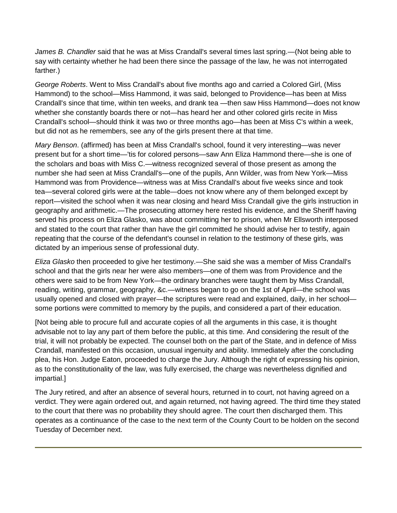*James B. Chandler* said that he was at Miss Crandall's several times last spring.—(Not being able to say with certainty whether he had been there since the passage of the law, he was not interrogated farther.)

*George Roberts*. Went to Miss Crandall's about five months ago and carried a Colored Girl, (Miss Hammond) to the school—Miss Hammond, it was said, belonged to Providence—has been at Miss Crandall's since that time, within ten weeks, and drank tea —then saw Hiss Hammond—does not know whether she constantly boards there or not—has heard her and other colored girls recite in Miss Crandall's school—should think it was two or three months ago—has been at Miss C's within a week, but did not as he remembers, see any of the girls present there at that time.

*Mary Benson*. (affirmed) has been at Miss Crandall's school, found it very interesting—was never present but for a short time—'tis for colored persons—saw Ann Eliza Hammond there—she is one of the scholars and boas with Miss C.—witness recognized several of those present as among the number she had seen at Miss Crandall's—one of the pupils, Ann Wilder, was from New York—Miss Hammond was from Providence—witness was at Miss Crandall's about five weeks since and took tea—several colored girls were at the table—does not know where any of them belonged except by report—visited the school when it was near closing and heard Miss Crandall give the girls instruction in geography and arithmetic.—The prosecuting attorney here rested his evidence, and the Sheriff having served his process on Eliza Glasko, was about committing her to prison, when Mr Ellsworth interposed and stated to the court that rather than have the girl committed he should advise her to testify, again repeating that the course of the defendant's counsel in relation to the testimony of these girls, was dictated by an imperious sense of professional duty.

*Eliza Glasko* then proceeded to give her testimony.—She said she was a member of Miss Crandall's school and that the girls near her were also members—one of them was from Providence and the others were said to be from New York—the ordinary branches were taught them by Miss Crandall, reading, writing, grammar, geography, &c.—witness began to go on the 1st of April—the school was usually opened and closed with prayer—the scriptures were read and explained, daily, in her school some portions were committed to memory by the pupils, and considered a part of their education.

[Not being able to procure full and accurate copies of all the arguments in this case, it is thought advisable not to lay any part of them before the public, at this time. And considering the result of the trial, it will not probably be expected. The counsel both on the part of the State, and in defence of Miss Crandall, manifested on this occasion, unusual ingenuity and ability. Immediately after the concluding plea, his Hon. Judge Eaton, proceeded to charge the Jury. Although the right of expressing his opinion, as to the constitutionality of the law, was fully exercised, the charge was nevertheless dignified and impartial.]

The Jury retired, and after an absence of several hours, returned in to court, not having agreed on a verdict. They were again ordered out, and again returned, not having agreed. The third time they stated to the court that there was no probability they should agree. The court then discharged them. This operates as a continuance of the case to the next term of the County Court to be holden on the second Tuesday of December next.